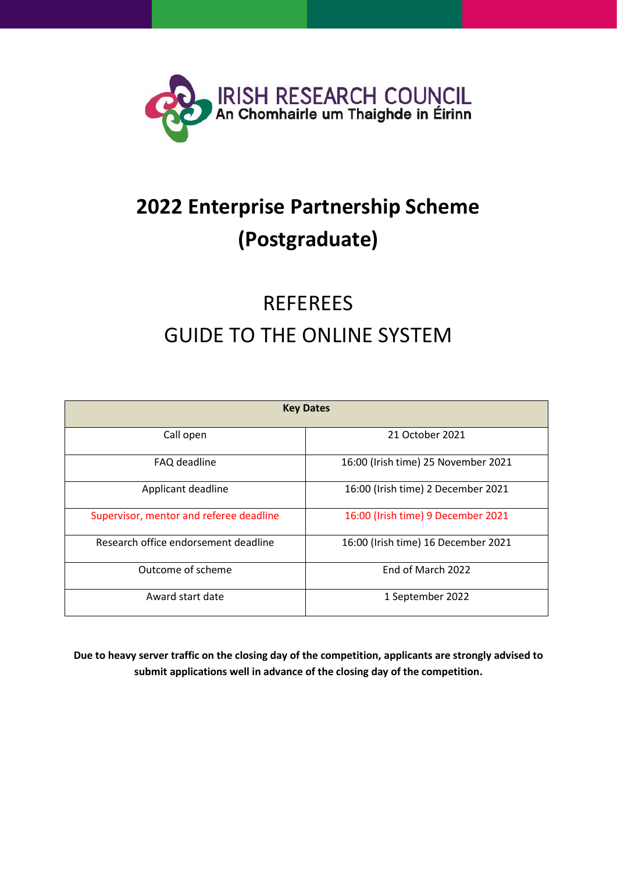

## **2022 Enterprise Partnership Scheme (Postgraduate)**

# REFEREES GUIDE TO THE ONLINE SYSTEM

| <b>Key Dates</b>                        |                                     |  |  |
|-----------------------------------------|-------------------------------------|--|--|
| Call open                               | 21 October 2021                     |  |  |
| FAQ deadline                            | 16:00 (Irish time) 25 November 2021 |  |  |
| Applicant deadline                      | 16:00 (Irish time) 2 December 2021  |  |  |
| Supervisor, mentor and referee deadline | 16:00 (Irish time) 9 December 2021  |  |  |
| Research office endorsement deadline    | 16:00 (Irish time) 16 December 2021 |  |  |
| Outcome of scheme                       | End of March 2022                   |  |  |
| Award start date                        | 1 September 2022                    |  |  |

**Due to heavy server traffic on the closing day of the competition, applicants are strongly advised to submit applications well in advance of the closing day of the competition.**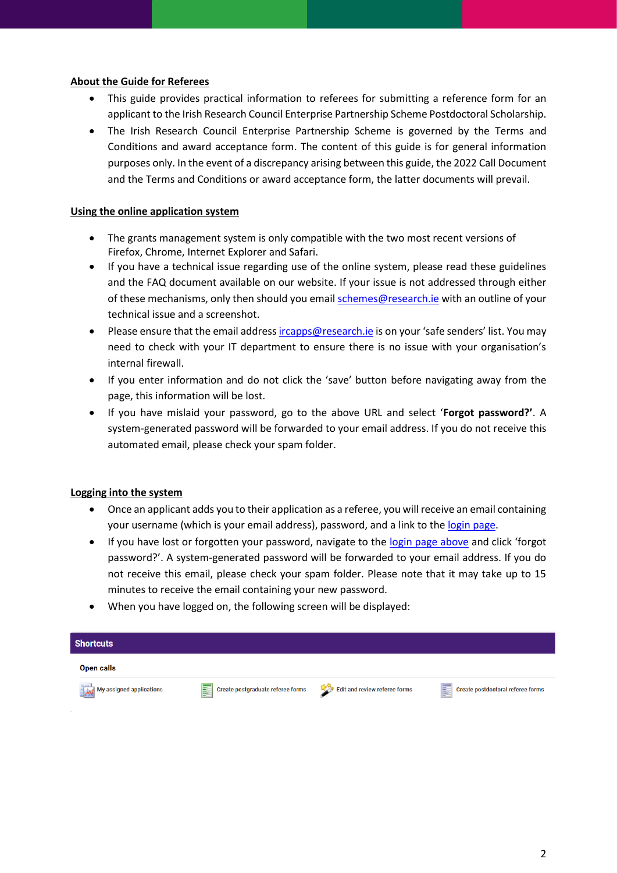## **About the Guide for Referees**

- This guide provides practical information to referees for submitting a reference form for an applicant to the Irish Research Council Enterprise Partnership Scheme Postdoctoral Scholarship.
- The Irish Research Council Enterprise Partnership Scheme is governed by the Terms and Conditions and award acceptance form. The content of this guide is for general information purposes only. In the event of a discrepancy arising between this guide, the 2022 Call Document and the Terms and Conditions or award acceptance form, the latter documents will prevail.

## **Using the online application system**

- The grants management system is only compatible with the two most recent versions of Firefox, Chrome, Internet Explorer and Safari.
- If you have a technical issue regarding use of the online system, please read these guidelines and the FAQ document available on our website. If your issue is not addressed through either of these mechanisms, only then should you emai[l schemes@research.ie](mailto:schemes@research.ie) with an outline of your technical issue and a screenshot.
- Please ensure that the email addres[s ircapps@research.ie](mailto:ircapps@research.ie) is on your 'safe senders' list. You may need to check with your IT department to ensure there is no issue with your organisation's internal firewall.
- If you enter information and do not click the 'save' button before navigating away from the page, this information will be lost.
- If you have mislaid your password, go to the above URL and select '**Forgot password?'**. A system-generated password will be forwarded to your email address. If you do not receive this automated email, please check your spam folder.

#### **Logging into the system**

- Once an applicant adds you to their application as a referee, you will receive an email containing your username (which is your email address), password, and a link to the [login page.](https://irishresearch.smartsimple.ie/s_Login.jsp)
- If you have lost or forgotten your password, navigate to the [login page above](https://irishresearch.smartsimple.ie/) and click 'forgot password?'. A system-generated password will be forwarded to your email address. If you do not receive this email, please check your spam folder. Please note that it may take up to 15 minutes to receive the email containing your new password.
- When you have logged on, the following screen will be displayed:

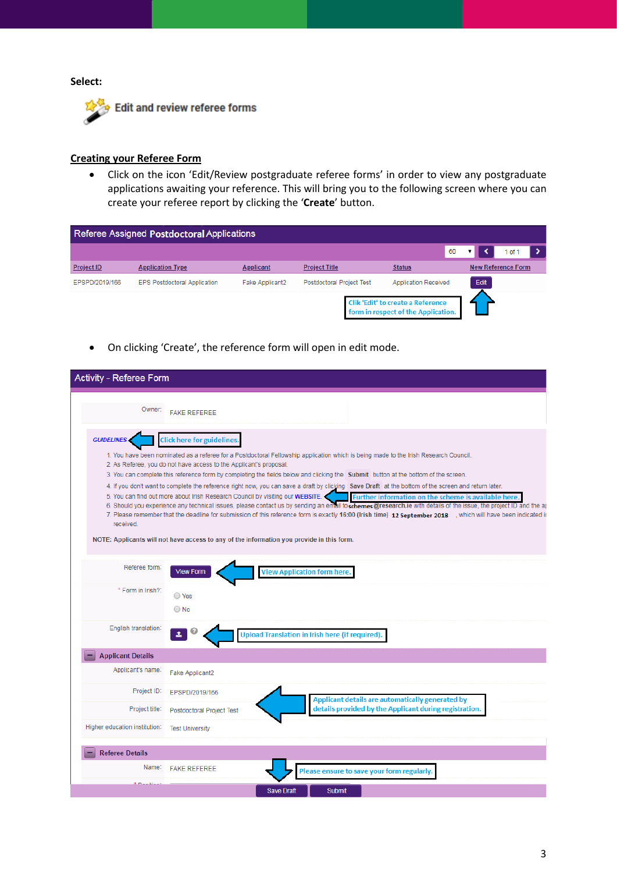#### **Select:**



### **Creating your Referee Form**

• Click on the icon 'Edit/Review postgraduate referee forms' in order to view any postgraduate applications awaiting your reference. This will bring you to the following screen where you can create your referee report by clicking the '**Create**' button.

|                   | Referee Assigned Postdoctoral Applications |                  |                                                                                 |                             |                           |
|-------------------|--------------------------------------------|------------------|---------------------------------------------------------------------------------|-----------------------------|---------------------------|
|                   |                                            |                  |                                                                                 | 60                          | $0$ of 1                  |
| <b>Project ID</b> | <b>Application Type</b>                    | <b>Applicant</b> | <b>Project Title</b>                                                            | <b>Status</b>               | <b>New Reference Form</b> |
| EPSPD/2019/166    | <b>EPS Postdoctoral Application</b>        | Fake Applicant2  | <b>Postdoctoral Project Test</b>                                                | <b>Application Received</b> | <b>Edit</b>               |
|                   |                                            |                  | <b>Clik 'Edit' to create a Reference</b><br>form in respect of the Application. |                             |                           |

• On clicking 'Create', the reference form will open in edit mode.

| <b>Activity - Referee Form</b> |                                                                                                                                                                                                                                                                                                                                                                                                                                                                                                                                                                                                                                                                                                                                                                                                                                                                                                                                                                                                                                                                                                                          |
|--------------------------------|--------------------------------------------------------------------------------------------------------------------------------------------------------------------------------------------------------------------------------------------------------------------------------------------------------------------------------------------------------------------------------------------------------------------------------------------------------------------------------------------------------------------------------------------------------------------------------------------------------------------------------------------------------------------------------------------------------------------------------------------------------------------------------------------------------------------------------------------------------------------------------------------------------------------------------------------------------------------------------------------------------------------------------------------------------------------------------------------------------------------------|
| Owner:                         | <b>FAKE REFEREE</b>                                                                                                                                                                                                                                                                                                                                                                                                                                                                                                                                                                                                                                                                                                                                                                                                                                                                                                                                                                                                                                                                                                      |
| <b>GUIDELINES</b><br>received. | <b>Click here for guidelines.</b><br>1. You have been nominated as a referee for a Postdoctoral Fellowship application which is being made to the Irish Research Council.<br>2. As Referee, you do not have access to the Applicant's proposal.<br>3. You can complete this reference form by completing the fields below and clicking the Submit button at the bottom of the screen.<br>4. If you don't want to complete the reference right now, you can save a draft by clicking Save Draft at the bottom of the screen and return later.<br>5. You can find out more about Irish Research Council by visiting our WEBSITE.<br>Further information on the scheme is available here<br>6. Should you experience any technical issues, please contact us by sending an email to schemes@research.ie with details of the issue, the project ID and the ar<br>7. Please remember that the deadline for submission of this reference form is exactly 16:00 (Irish time) 12 September 2018 , which will have been indicated ir<br>NOTE: Applicants will not have access to any of the information you provide in this form. |
| Referee form:                  | <b>View Application form here.</b><br><b>View Form</b>                                                                                                                                                                                                                                                                                                                                                                                                                                                                                                                                                                                                                                                                                                                                                                                                                                                                                                                                                                                                                                                                   |
| * Form in Irish?:              | $\bigcirc$ Yes<br>$\bigcirc$ No                                                                                                                                                                                                                                                                                                                                                                                                                                                                                                                                                                                                                                                                                                                                                                                                                                                                                                                                                                                                                                                                                          |
| English translation:           | <b>Upload Translation in Irish here (if required).</b>                                                                                                                                                                                                                                                                                                                                                                                                                                                                                                                                                                                                                                                                                                                                                                                                                                                                                                                                                                                                                                                                   |
| <b>Applicant Details</b>       |                                                                                                                                                                                                                                                                                                                                                                                                                                                                                                                                                                                                                                                                                                                                                                                                                                                                                                                                                                                                                                                                                                                          |
| Applicant's name:              | Fake Applicant2                                                                                                                                                                                                                                                                                                                                                                                                                                                                                                                                                                                                                                                                                                                                                                                                                                                                                                                                                                                                                                                                                                          |
| Project ID:                    | EPSPD/2019/166<br>Applicant details are automatically generated by                                                                                                                                                                                                                                                                                                                                                                                                                                                                                                                                                                                                                                                                                                                                                                                                                                                                                                                                                                                                                                                       |
| Project title:                 | details provided by the Applicant during registration.<br>Postdoctoral Project Test                                                                                                                                                                                                                                                                                                                                                                                                                                                                                                                                                                                                                                                                                                                                                                                                                                                                                                                                                                                                                                      |
| Higher education institution:  | <b>Test University</b>                                                                                                                                                                                                                                                                                                                                                                                                                                                                                                                                                                                                                                                                                                                                                                                                                                                                                                                                                                                                                                                                                                   |
| <b>Referee Details</b>         |                                                                                                                                                                                                                                                                                                                                                                                                                                                                                                                                                                                                                                                                                                                                                                                                                                                                                                                                                                                                                                                                                                                          |
| Name:                          | <b>FAKE REFEREE</b><br>Please ensure to save your form regularly.                                                                                                                                                                                                                                                                                                                                                                                                                                                                                                                                                                                                                                                                                                                                                                                                                                                                                                                                                                                                                                                        |
|                                | <b>Save Draft</b><br><b>Submit</b>                                                                                                                                                                                                                                                                                                                                                                                                                                                                                                                                                                                                                                                                                                                                                                                                                                                                                                                                                                                                                                                                                       |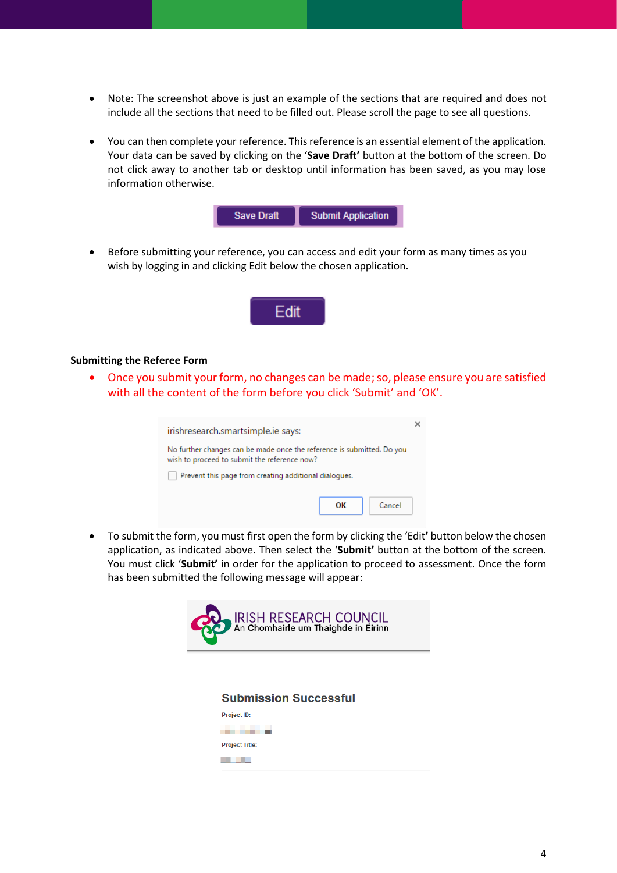- Note: The screenshot above is just an example of the sections that are required and does not include all the sections that need to be filled out. Please scroll the page to see all questions.
- You can then complete your reference. This reference is an essential element of the application. Your data can be saved by clicking on the '**Save Draft'** button at the bottom of the screen. Do not click away to another tab or desktop until information has been saved, as you may lose information otherwise.



• Before submitting your reference, you can access and edit your form as many times as you wish by logging in and clicking Edit below the chosen application.



#### **Submitting the Referee Form**

Once you submit your form, no changes can be made; so, please ensure you are satisfied with all the content of the form before you click 'Submit' and 'OK'.

| irishresearch.smartsimple.ie says:                                                                                     |  |  |  |
|------------------------------------------------------------------------------------------------------------------------|--|--|--|
| No further changes can be made once the reference is submitted. Do you<br>wish to proceed to submit the reference now? |  |  |  |
| Prevent this page from creating additional dialogues.                                                                  |  |  |  |
| Cancel<br>OК                                                                                                           |  |  |  |

• To submit the form, you must first open the form by clicking the 'Edit**'** button below the chosen application, as indicated above. Then select the '**Submit'** button at the bottom of the screen. You must click '**Submit'** in order for the application to proceed to assessment. Once the form has been submitted the following message will appear: